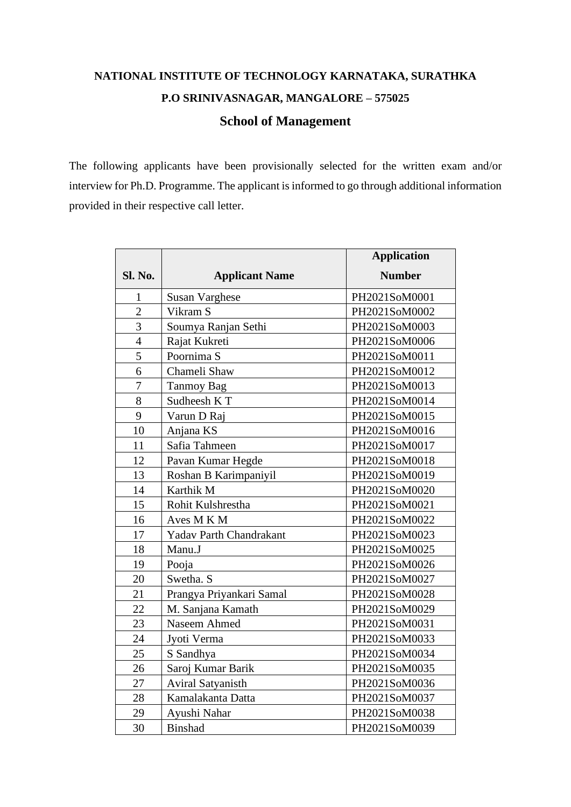## **NATIONAL INSTITUTE OF TECHNOLOGY KARNATAKA, SURATHKA P.O SRINIVASNAGAR, MANGALORE – 575025 School of Management**

The following applicants have been provisionally selected for the written exam and/or interview for Ph.D. Programme. The applicant is informed to go through additional information provided in their respective call letter.

|                |                                | <b>Application</b> |
|----------------|--------------------------------|--------------------|
| Sl. No.        | <b>Applicant Name</b>          | <b>Number</b>      |
| $\mathbf{1}$   | <b>Susan Varghese</b>          | PH2021SoM0001      |
| $\overline{2}$ | Vikram S                       | PH2021SoM0002      |
| $\overline{3}$ | Soumya Ranjan Sethi            | PH2021SoM0003      |
| $\overline{4}$ | Rajat Kukreti                  | PH2021SoM0006      |
| 5              | Poornima S                     | PH2021SoM0011      |
| 6              | Chameli Shaw                   | PH2021SoM0012      |
| $\overline{7}$ | <b>Tanmoy Bag</b>              | PH2021SoM0013      |
| 8              | Sudheesh KT                    | PH2021SoM0014      |
| 9              | Varun D Raj                    | PH2021SoM0015      |
| 10             | Anjana KS                      | PH2021SoM0016      |
| 11             | Safia Tahmeen                  | PH2021SoM0017      |
| 12             | Pavan Kumar Hegde              | PH2021SoM0018      |
| 13             | Roshan B Karimpaniyil          | PH2021SoM0019      |
| 14             | Karthik M                      | PH2021SoM0020      |
| 15             | Rohit Kulshrestha              | PH2021SoM0021      |
| 16             | Aves M K M                     | PH2021SoM0022      |
| 17             | <b>Yadav Parth Chandrakant</b> | PH2021SoM0023      |
| 18             | Manu.J                         | PH2021SoM0025      |
| 19             | Pooja                          | PH2021SoM0026      |
| 20             | Swetha. S                      | PH2021SoM0027      |
| 21             | Prangya Priyankari Samal       | PH2021SoM0028      |
| 22             | M. Sanjana Kamath              | PH2021SoM0029      |
| 23             | Naseem Ahmed                   | PH2021SoM0031      |
| 24             | Jyoti Verma                    | PH2021SoM0033      |
| 25             | S Sandhya                      | PH2021SoM0034      |
| 26             | Saroj Kumar Barik              | PH2021SoM0035      |
| 27             | <b>Aviral Satyanisth</b>       | PH2021SoM0036      |
| 28             | Kamalakanta Datta              | PH2021SoM0037      |
| 29             | Ayushi Nahar                   | PH2021SoM0038      |
| 30             | <b>Binshad</b>                 | PH2021SoM0039      |